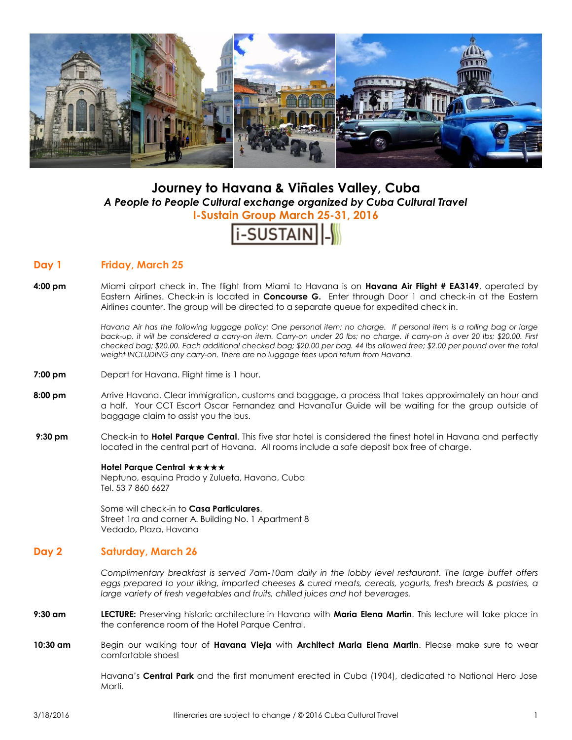

# **Journey to Havana & Viñales Valley, Cuba** *A People to People Cultural exchange organized by Cuba Cultural Travel* **I-Sustain Group March 25-31, 2016**



# **Day 1 Friday, March 25**

**4:00 pm** Miami airport check in. The flight from Miami to Havana is on **Havana Air Flight # EA3149**, operated by Eastern Airlines. Check-in is located in **Concourse G.** Enter through Door 1 and check-in at the Eastern Airlines counter. The group will be directed to a separate queue for expedited check in.

> *Havana Air has the following luggage policy: One personal item; no charge. If personal item is a rolling bag or large back-up, it will be considered a carry-on item. Carry-on under 20 lbs; no charge. If carry-on is over 20 lbs; \$20.00. First checked bag; \$20.00. Each additional checked bag; \$20.00 per bag. 44 lbs allowed free; \$2.00 per pound over the total weight INCLUDING any carry-on. There are no luggage fees upon return from Havana.*

- **7:00 pm** Depart for Havana. Flight time is 1 hour.
- **8:00 pm** Arrive Havana. Clear immigration, customs and baggage, a process that takes approximately an hour and a half. Your CCT Escort Oscar Fernandez and HavanaTur Guide will be waiting for the group outside of baggage claim to assist you the bus.
- **9:30 pm** Check-in to **Hotel Parque Central**. This five star hotel is considered the finest hotel in Havana and perfectly located in the central part of Havana. All rooms include a safe deposit box free of charge.

#### **Hotel Parque Central ★★★★★**

Neptuno, esquina Prado y Zulueta, Havana, Cuba Tel. 53 7 860 6627

Some will check-in to **Casa Particulares**. Street 1ra and corner A. Building No. 1 Apartment 8 Vedado, Plaza, Havana

# **Day 2 Saturday, March 26**

*Complimentary breakfast is served 7am-10am daily in the lobby level restaurant. The large buffet offers eggs prepared to your liking, imported cheeses & cured meats, cereals, yogurts, fresh breads & pastries, a large variety of fresh vegetables and fruits, chilled juices and hot beverages.*

- **9:30 am LECTURE:** Preserving historic architecture in Havana with **Maria Elena Martin**. This lecture will take place in the conference room of the Hotel Parque Central.
- **10:30 am** Begin our walking tour of **Havana Vieja** with **Architect Maria Elena Martin**. Please make sure to wear comfortable shoes!

Havana's **Central Park** and the first monument erected in Cuba (1904), dedicated to National Hero Jose Marti.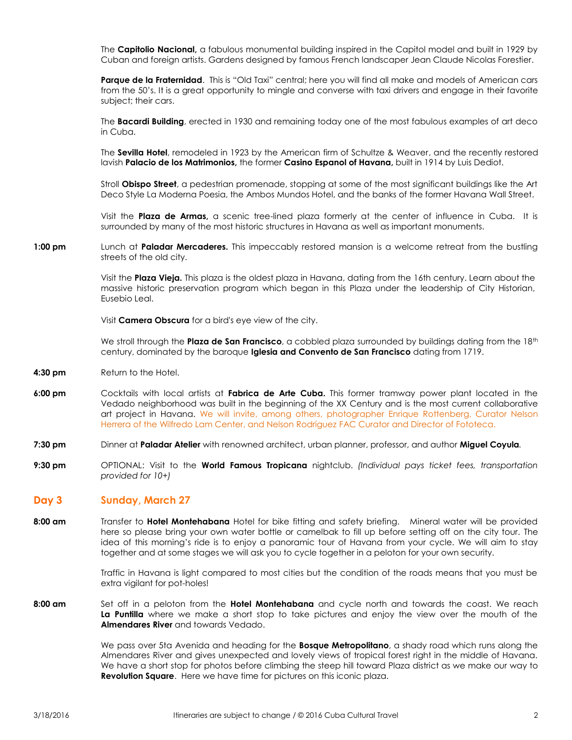The **Capitolio Nacional,** a fabulous monumental building inspired in the Capitol model and built in 1929 by Cuban and foreign artists. Gardens designed by famous French landscaper Jean Claude Nicolas Forestier.

**Parque de la Fraternidad**.This is "Old Taxi" central; here you will find all make and models of American cars from the 50's. It is a great opportunity to mingle and converse with taxi drivers and engage in their favorite subject; their cars.

The **Bacardi Building**, erected in 1930 and remaining today one of the most fabulous examples of art deco in Cuba.

The **Sevilla Hotel**, remodeled in 1923 by the American firm of Schultze & Weaver, and the recently restored lavish **Palacio de los Matrimonios,** the former **Casino Espanol of Havana,** built in 1914 by Luis Dediot.

Stroll **Obispo Street**, a pedestrian promenade, stopping at some of the most significant buildings like the Art Deco Style La Moderna Poesia, the Ambos Mundos Hotel, and the banks of the former Havana Wall Street.

Visit the **Plaza de Armas,** a scenic tree-lined plaza formerly at the center of influence in Cuba. It is surrounded by many of the most historic structures in Havana as well as important monuments.

**1:00 pm** Lunch at **Paladar Mercaderes.** This impeccably restored mansion is a welcome retreat from the bustling streets of the old city.

> Visit the **Plaza Vieja.** This plaza is the oldest plaza in Havana, dating from the 16th century. Learn about the massive historic preservation program which began in this Plaza under the leadership of City Historian, Eusebio Leal.

Visit **Camera Obscura** for a bird's eye view of the city.

We stroll through the **Plaza de San Francisco**, a cobbled plaza surrounded by buildings dating from the 18<sup>th</sup> century, dominated by the baroque **Iglesia and Convento de San Francisco** dating from 1719.

- **4:30 pm** Return to the Hotel.
- **6:00 pm** Cocktails with local artists at **Fabrica de Arte Cuba.** This former tramway power plant located in the Vedado neighborhood was built in the beginning of the XX Century and is the most current collaborative art project in Havana. We will invite, among others, photographer Enrique Rottenberg, Curator Nelson Herrera of the Wilfredo Lam Center, and Nelson Rodríguez FAC Curator and Director of Fototeca.
- **7:30 pm** Dinner at **Paladar Atelier** with renowned architect, urban planner, professor, and author **Miguel Coyula***.*
- **9:30 pm** OPTIONAL: Visit to the **World Famous Tropicana** nightclub. *(Individual pays ticket fees, transportation provided for 10+)*

## **Day 3 Sunday, March 27**

**8:00 am** Transfer to **Hotel Montehabana** Hotel for bike fitting and safety briefing. Mineral water will be provided here so please bring your own water bottle or camelbak to fill up before setting off on the city tour. The idea of this morning's ride is to enjoy a panoramic tour of Havana from your cycle. We will aim to stay together and at some stages we will ask you to cycle together in a peloton for your own security.

> Traffic in Havana is light compared to most cities but the condition of the roads means that you must be extra vigilant for pot-holes!

**8:00 am** Set off in a peloton from the **Hotel Montehabana** and cycle north and towards the coast. We reach **La Puntilla** where we make a short stop to take pictures and enjoy the view over the mouth of the **Almendares River** and towards Vedado.

> We pass over 5ta Avenida and heading for the **Bosque Metropolitano**, a shady road which runs along the Almendares River and gives unexpected and lovely views of tropical forest right in the middle of Havana. We have a short stop for photos before climbing the steep hill toward Plaza district as we make our way to **Revolution Square**. Here we have time for pictures on this iconic plaza.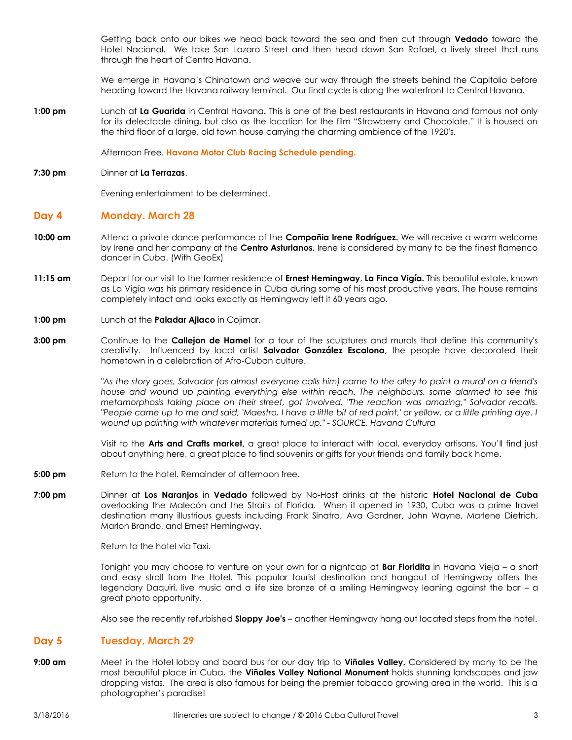Getting back onto our bikes we head back toward the sea and then cut through **Vedado** toward the Hotel Nacional. We take San Lazaro Street and then head down San Rafael, a lively street that runs through the heart of Centro Havana.

We emerge in Havana's Chinatown and weave our way through the streets behind the Capitolio before heading toward the Havana railway terminal. Our final cycle is along the waterfront to Central Havana.

**1:00 pm** Lunch at **La Guarida** in Central Havana**.** This is one of the best restaurants in Havana and famous not only for its delectable dining, but also as the location for the film "Strawberry and Chocolate." It is housed on the third floor of a large, old town house carrying the charming ambience of the 1920's.

Afternoon Free. **Havana Motor Club Racing Schedule pending.**

#### **7:30 pm** Dinner at **La Terrazas**.

Evening entertainment to be determined.

### **Day 4 Monday. March 28**

- **10:00 10:00 am** Attend a private dance performance of the **Compañia Irene Rodríguez.** We will receive a warm welcome by Irene and her company at the **Centro Asturianos.** Irene is considered by many to be the finest flamenco dancer in Cuba. (With GeoEx)
- **11:15 am** Depart for our visit to the former residence of **Ernest Hemingway**, **La Finca Vigía.** This beautiful estate, known as La Vigía was his primary residence in Cuba during some of his most productive years. The house remains completely intact and looks exactly as Hemingway left it 60 years ago.
- **1:00 pm** Lunch at the **Paladar Ajiaco** in Cojimar**.**
- **3:00 pm** Continue to the **Callejon de Hamel** for a tour of the sculptures and murals that define this community's creativity. Influenced by local artist **Salvador González Escalona**, the people have decorated their hometown in a celebration of Afro-Cuban culture.

*"As the story goes, Salvador (as almost everyone calls him) came to the alley to paint a mural on a friend's house and wound up painting everything else within reach. The neighbours, some alarmed to see this metamorphosis taking place on their street, got involved. "The reaction was amazing," Salvador recalls. "People came up to me and said, 'Maestro, I have a little bit of red paint,' or yellow, or a little printing dye. I wound up painting with whatever materials turned up." - SOURCE, Havana Cultura*

Visit to the **Arts and Crafts market**, a great place to interact with local, everyday artisans. You'll find just about anything here, a great place to find souvenirs or gifts for your friends and family back home.

- **5:00 pm** Return to the hotel. Remainder of afternoon free.
- **7:00 pm** Dinner at **Los Naranjos** in **Vedado** followed by No-Host drinks at the historic **Hotel Nacional de Cuba** overlooking the [Malecón](http://en.wikipedia.org/wiki/Malecon,_Havana) and the Straits of Florida. When it opened in 1930, Cuba was a prime travel destination many illustrious guests including [Frank Sinatra,](http://en.wikipedia.org/wiki/Frank_Sinatra) [Ava Gardner,](http://en.wikipedia.org/wiki/Ava_Gardner) [John Wayne,](http://en.wikipedia.org/wiki/John_Wayne) [Marlene Dietrich,](http://en.wikipedia.org/wiki/Marlene_Dietrich) [Marlon Brando,](http://en.wikipedia.org/wiki/Marlon_Brando) an[d Ernest Hemingway.](http://en.wikipedia.org/wiki/Ernest_Hemingway)

Return to the hotel via Taxi.

Tonight you may choose to venture on your own for a nightcap at **Bar Floridita** in Havana Vieja – a short and easy stroll from the Hotel. This popular tourist destination and hangout of Hemingway offers the legendary Daquiri, live music and a life size bronze of a smiling Hemingway leaning against the bar – a great photo opportunity.

Also see the recently refurbished **Sloppy Joe's** – another Hemingway hang out located steps from the hotel.

#### **Day 5 Tuesday, March 29**

**9:00 am** Meet in the Hotel lobby and board bus for our day trip to **Viñales Valley.** Considered by many to be the most beautiful place in Cuba, the **Viñales Valley National Monument** holds stunning landscapes and jaw dropping vistas. The area is also famous for being the premier tobacco growing area in the world. This is a photographer's paradise!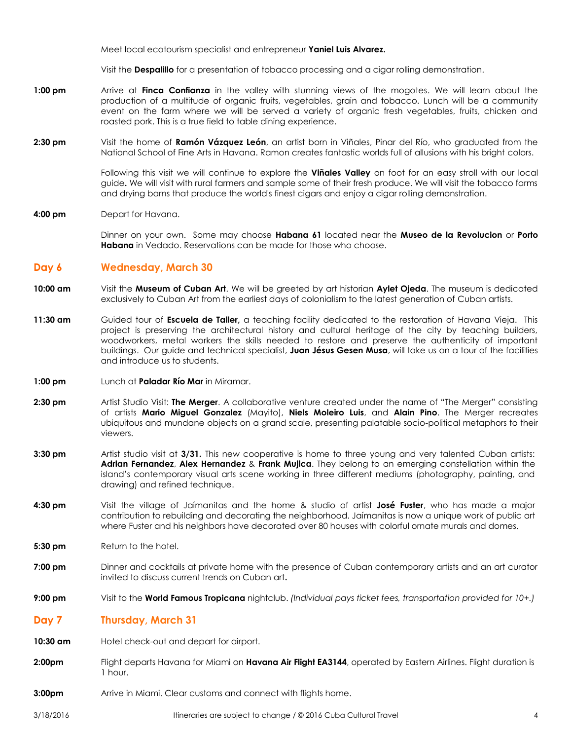Meet local ecotourism specialist and entrepreneur **Yaniel Luis Alvarez.**

Visit the **Despalillo** for a presentation of tobacco processing and a cigar rolling demonstration.

- **1:00 pm** Arrive at **Finca Confianza** in the valley with stunning views of the mogotes. We will learn about the production of a multitude of organic fruits, vegetables, grain and tobacco. Lunch will be a community event on the farm where we will be served a variety of organic fresh vegetables, fruits, chicken and roasted pork. This is a true field to table dining experience.
- **2:30 pm** Visit the home of **Ramón Vázquez León**, an artist born in Viñales, Pinar del Río, who graduated from the National School of Fine Arts in Havana. Ramon creates fantastic worlds full of allusions with his bright colors.

Following this visit we will continue to explore the **Viñales Valley** on foot for an easy stroll with our local guide**.** We will visit with rural farmers and sample some of their fresh produce. We will visit the tobacco farms and drying barns that produce the world's finest cigars and enjoy a cigar rolling demonstration.

**4:00 pm** Depart for Havana.

Dinner on your own. Some may choose **Habana 61** located near the **Museo de la Revolucion** or **Porto Habana** in Vedado. Reservations can be made for those who choose.

## **Day 6 Wednesday, March 30**

- **10:00 am** Visit the **Museum of Cuban Art**. We will be greeted by art historian **Aylet Ojeda**. The museum is dedicated exclusively to Cuban Art from the earliest days of colonialism to the latest generation of Cuban artists.
- **11:30 am** Guided tour of **Escuela de Taller,** a teaching facility dedicated to the restoration of Havana Vieja. This project is preserving the architectural history and cultural heritage of the city by teaching builders, woodworkers, metal workers the skills needed to restore and preserve the authenticity of important buildings. Our guide and technical specialist, **Juan Jésus Gesen Musa**, will take us on a tour of the facilities and introduce us to students.
- **1:00 pm** Lunch at **Paladar Río Mar** in Miramar.
- **2:30 pm** Artist Studio Visit: **The Merger**. A collaborative venture created under the name of "The Merger" consisting of artists **Mario Miguel Gonzalez** (Mayito), **Niels Moleiro Luis**, and **Alain Pino**. The Merger recreates ubiquitous and mundane objects on a grand scale, presenting palatable socio-political metaphors to their viewers.
- **3:30 pm** Artist studio visit at **3/31.** This new cooperative is home to three young and very talented Cuban artists: **Adrian Fernandez**, **Alex Hernandez** & **Frank Mujica**. They belong to an emerging constellation within the island's contemporary visual arts scene working in three different mediums (photography, painting, and drawing) and refined technique.
- **4:30 pm** Visit the village of Jaímanitas and the home & studio of artist **José Fuster**, who has made a major contribution to rebuilding and decorating the neighborhood. Jaímanitas is now a unique work of public art where Fuster and his neighbors have decorated over 80 houses with colorful ornate murals and domes.
- **5:30 pm** Return to the hotel.
- **7:00 pm** Dinner and cocktails at private home with the presence of Cuban contemporary artists and an art curator invited to discuss current trends on Cuban art**.**
- **9:00 pm** Visit to the **World Famous Tropicana** nightclub. *(Individual pays ticket fees, transportation provided for 10+.)*
- **Day 7 Thursday, March 31**
- **10:30 am** Hotel check-out and depart for airport.
- 2:00pm Flight departs Havana for Miami on Havana Air Flight EA3144, operated by Eastern Airlines. Flight duration is 1 hour.
- **3:00pm** Arrive in Miami. Clear customs and connect with flights home.